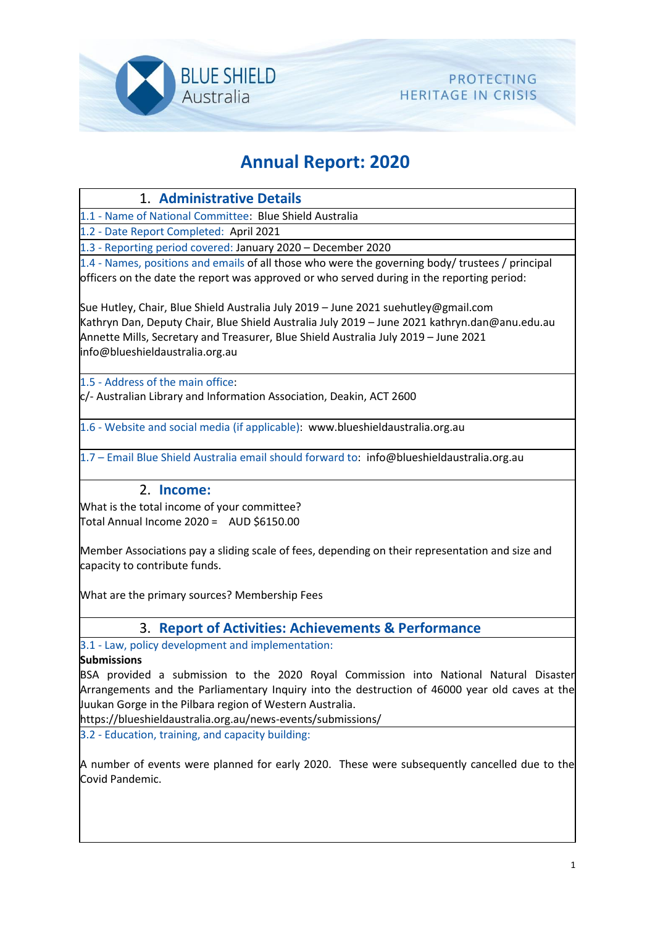

# **Annual Report: 2020**

# 1. **Administrative Details**

1.1 - Name of National Committee: Blue Shield Australia

1.2 - Date Report Completed: April 2021

1.3 - Reporting period covered: January 2020 – December 2020

1.4 - Names, positions and emails of all those who were the governing body/ trustees / principal officers on the date the report was approved or who served during in the reporting period:

Sue Hutley, Chair, Blue Shield Australia July 2019 – June 2021 suehutley@gmail.com Kathryn Dan, Deputy Chair, Blue Shield Australia July 2019 – June 2021 kathryn.dan@anu.edu.au Annette Mills, Secretary and Treasurer, Blue Shield Australia July 2019 – June 2021 info@blueshieldaustralia.org.au

1.5 - Address of the main office:

c/- Australian Library and Information Association, Deakin, ACT 2600

1.6 - Website and social media (if applicable): www.blueshieldaustralia.org.au

1.7 – Email Blue Shield Australia email should forward to: info@blueshieldaustralia.org.au

### 2. **Income:**

What is the total income of your committee? Total Annual Income 2020 = AUD \$6150.00

Member Associations pay a sliding scale of fees, depending on their representation and size and capacity to contribute funds.

What are the primary sources? Membership Fees

### 3. **Report of Activities: Achievements & Performance**

3.1 - Law, policy development and implementation:

#### **Submissions**

BSA provided a submission to the 2020 Royal Commission into National Natural Disaster Arrangements and the Parliamentary Inquiry into the destruction of 46000 year old caves at the Juukan Gorge in the Pilbara region of Western Australia.

https://blueshieldaustralia.org.au/news-events/submissions/

3.2 - Education, training, and capacity building:

A number of events were planned for early 2020. These were subsequently cancelled due to the Covid Pandemic.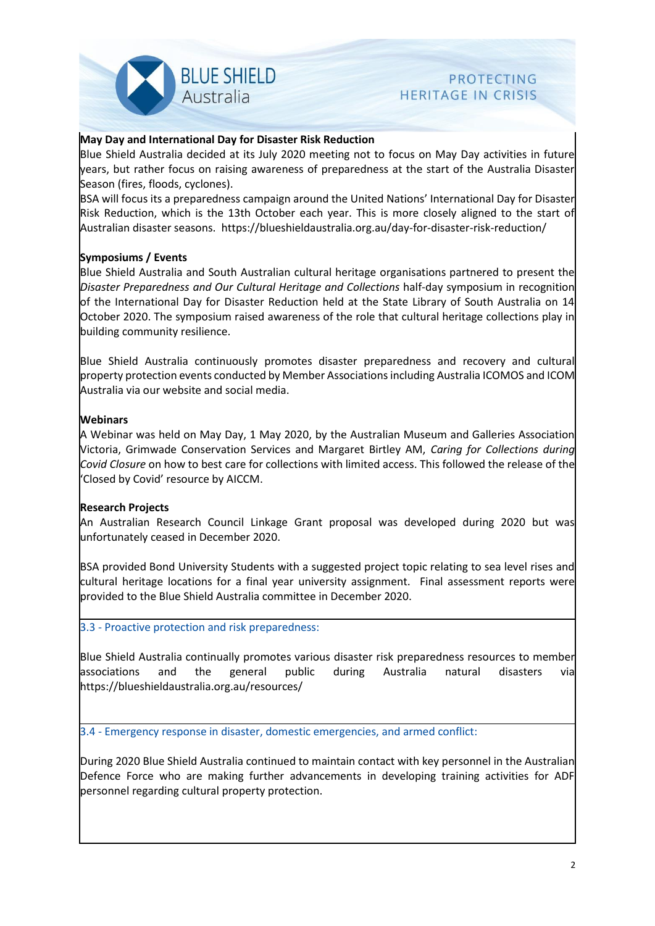

# **PROTECTING HERITAGE IN CRISIS**

#### **May Day and International Day for Disaster Risk Reduction**

Blue Shield Australia decided at its July 2020 meeting not to focus on May Day activities in future years, but rather focus on raising awareness of preparedness at the start of the Australia Disaster Season (fires, floods, cyclones).

BSA will focus its a preparedness campaign around the United Nations' International Day for Disaster Risk Reduction, which is the 13th October each year. This is more closely aligned to the start of Australian disaster seasons. https://blueshieldaustralia.org.au/day-for-disaster-risk-reduction/

#### **Symposiums / Events**

Blue Shield Australia and South Australian cultural heritage organisations partnered to present the *Disaster Preparedness and Our Cultural Heritage and Collections* half-day symposium in recognition of the International Day for Disaster Reduction held at the State Library of South Australia on 14 October 2020. The symposium raised awareness of the role that cultural heritage collections play in building community resilience.

Blue Shield Australia continuously promotes disaster preparedness and recovery and cultural property protection events conducted by Member Associations including Australia ICOMOS and ICOM Australia via our website and social media.

#### **Webinars**

A Webinar was held on May Day, 1 May 2020, by the Australian Museum and Galleries Association Victoria, Grimwade Conservation Services and Margaret Birtley AM, *Caring for Collections during Covid Closure* on how to best care for collections with limited access. This followed the release of the 'Closed by Covid' resource by AICCM.

#### **Research Projects**

An Australian Research Council Linkage Grant proposal was developed during 2020 but was unfortunately ceased in December 2020.

BSA provided Bond University Students with a suggested project topic relating to sea level rises and cultural heritage locations for a final year university assignment. Final assessment reports were provided to the Blue Shield Australia committee in December 2020.

3.3 - Proactive protection and risk preparedness:

Blue Shield Australia continually promotes various disaster risk preparedness resources to member associations and the general public during Australia natural disasters via https://blueshieldaustralia.org.au/resources/

3.4 - Emergency response in disaster, domestic emergencies, and armed conflict:

During 2020 Blue Shield Australia continued to maintain contact with key personnel in the Australian Defence Force who are making further advancements in developing training activities for ADF personnel regarding cultural property protection.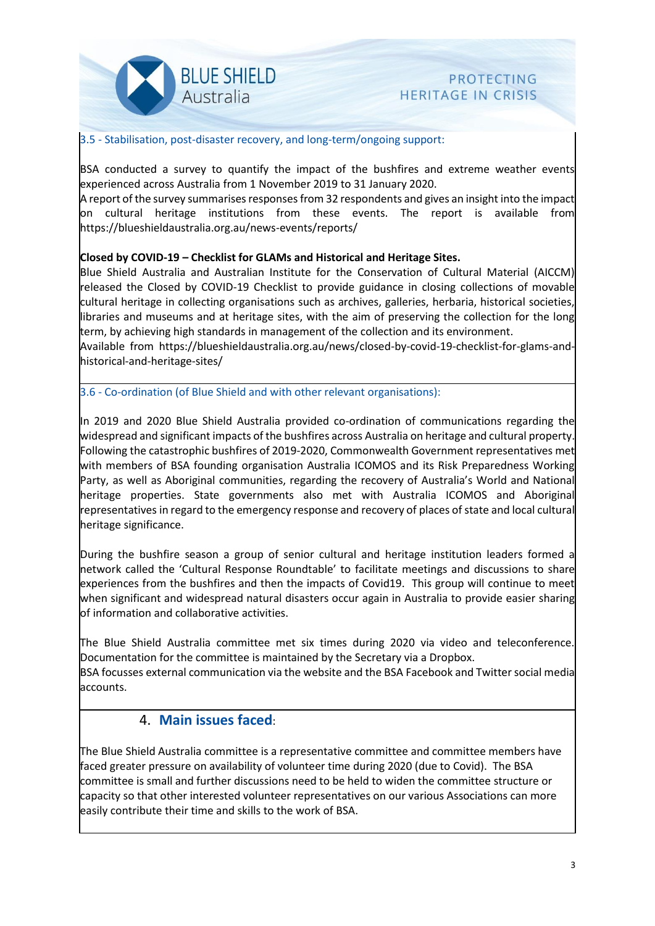

# **PROTECTING HERITAGE IN CRISIS**

#### 3.5 - Stabilisation, post-disaster recovery, and long-term/ongoing support:

BSA conducted a survey to quantify the impact of the bushfires and extreme weather events experienced across Australia from 1 November 2019 to 31 January 2020.

A report of the survey summarises responses from 32 respondents and gives an insight into the impact on cultural heritage institutions from these events. The report is available from https://blueshieldaustralia.org.au/news-events/reports/

#### **Closed by COVID-19 – Checklist for GLAMs and Historical and Heritage Sites.**

Blue Shield Australia and Australian Institute for the Conservation of Cultural Material (AICCM) released the Closed by COVID-19 Checklist to provide guidance in closing collections of movable cultural heritage in collecting organisations such as archives, galleries, herbaria, historical societies, libraries and museums and at heritage sites, with the aim of preserving the collection for the long term, by achieving high standards in management of the collection and its environment.

Available from https://blueshieldaustralia.org.au/news/closed-by-covid-19-checklist-for-glams-andhistorical-and-heritage-sites/

3.6 - Co-ordination (of Blue Shield and with other relevant organisations):

In 2019 and 2020 Blue Shield Australia provided co-ordination of communications regarding the widespread and significant impacts of the bushfires across Australia on heritage and cultural property. Following the catastrophic bushfires of 2019-2020, Commonwealth Government representatives met with members of BSA founding organisation Australia ICOMOS and its Risk Preparedness Working Party, as well as Aboriginal communities, regarding the recovery of Australia's World and National heritage properties. State governments also met with Australia ICOMOS and Aboriginal representatives in regard to the emergency response and recovery of places of state and local cultural heritage significance.

During the bushfire season a group of senior cultural and heritage institution leaders formed a network called the 'Cultural Response Roundtable' to facilitate meetings and discussions to share experiences from the bushfires and then the impacts of Covid19. This group will continue to meet when significant and widespread natural disasters occur again in Australia to provide easier sharing of information and collaborative activities.

The Blue Shield Australia committee met six times during 2020 via video and teleconference. Documentation for the committee is maintained by the Secretary via a Dropbox.

BSA focusses external communication via the website and the BSA Facebook and Twitter social media accounts.

#### 4. **Main issues faced**:

The Blue Shield Australia committee is a representative committee and committee members have faced greater pressure on availability of volunteer time during 2020 (due to Covid). The BSA committee is small and further discussions need to be held to widen the committee structure or capacity so that other interested volunteer representatives on our various Associations can more easily contribute their time and skills to the work of BSA.